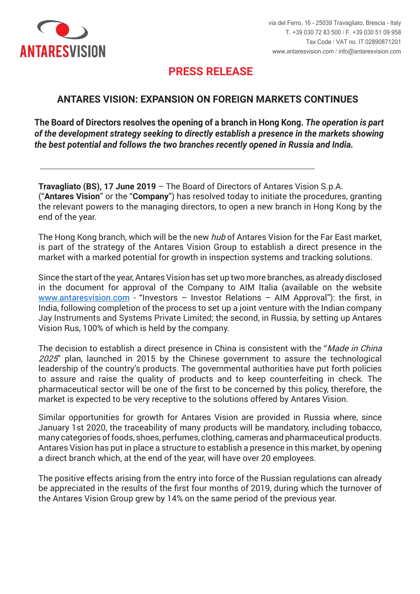

## **PRESS RELEASE PRESS RELEASE**

## **ANTARES VISION: EXPANSION ON FOREIGN MARKETS CONTINUES**

**Il CdA delibera l'apertura di una filiale in Hong Kong.** *L'operazione rientra nella*  **The Board of Directors resolves the opening of a branch in Hong Kong.** *The operation is part strategia di sviluppo che vede il presidio diretto dei mercati con un maggiore of the development strategy seeking to directly establish a presence in the markets showing potenziale e dà seguito alle recenti costituzioni di due filiali, in Russia e India. the best potential and follows the two branches recently opened in Russia and India.*

\_\_\_\_\_\_\_\_\_\_\_\_\_\_\_\_\_\_\_\_\_\_\_\_\_\_\_\_\_\_\_\_\_\_\_\_\_\_\_\_\_\_\_\_\_\_\_\_\_\_\_\_\_\_\_\_\_\_\_\_\_\_\_\_\_\_\_\_\_\_\_\_\_\_\_\_\_\_\_\_\_\_\_\_\_\_\_\_\_\_\_\_\_\_\_\_

**Travagliato (BS), 17 June 2019** – The Board of Directors of Antares Vision S.p.A. ("Antares Vision" or the "Company") has resolved today to initiate the procedures, granting the relevant powers to the managing directors, to open a new branch in Hong Kong by the end of the year.

The Hong Kong branch, which will be the new *hub* of Antares Vision for the Far East market, is part of the strategy of the Antares Vision Group to establish a direct presence in the market with a marked potential for growth in inspection systems and tracking solutions.

in the document for approval of the Company to AIM Italia (available on the website www.antaresvision.com - "Investors - Investor Relations - AIM Approval"): the first, in India, following completion of the process to set up a joint venture with the Indian company Jay Instruments and Systems Private Limited; the second, in Russia, by setting up Antares Vision Rus, 100% of which is held by the company. Since the start of the year, Antares Vision has set up two more branches, as already disclosed

2025" plan, launched in 2015 by the Chinese government to assure the technological leadership of the country's products. The governmental authorities have put forth policies to assure and raise the quality of products and to keep counterfeiting in check. The pharmaceutical sector will be one of the first to be concerned by this policy, therefore, the market is expected to be very receptive to the solutions offered by Antares Vision. The decision to establish a direct presence in China is consistent with the "*Made in China* 

January 1st 2020, the traceability of many products will be mandatory, including tobacco, many categories of foods, shoes, perfumes, clothing, cameras and pharmaceutical products. Antares Vision has put in place a structure to establish a presence in this market, by opening a direct branch which, at the end of the year, will have over 20 employees. Similar opportunities for growth for Antares Vision are provided in Russia where, since

be appreciated in the results of the first four months of 2019, during which the turnover of the Antares Vision Group grew by 14% on the same period of the previous year. The positive effects arising from the entry into force of the Russian regulations can already